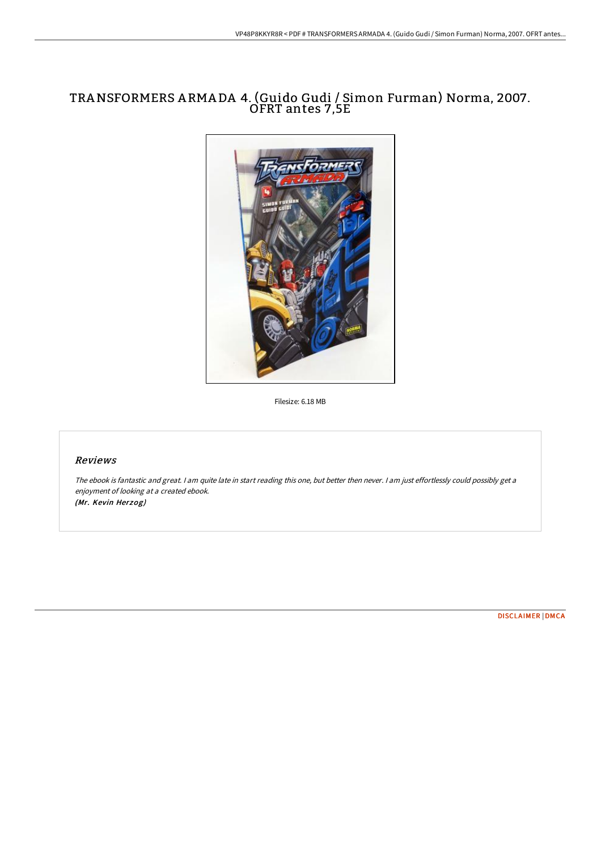# TRANSFORMERS <sup>A</sup> RMA DA 4. (Guido Gudi / Simon Furman) Norma, 2007. OFRT antes 7,5E



Filesize: 6.18 MB

## Reviews

The ebook is fantastic and great. <sup>I</sup> am quite late in start reading this one, but better then never. <sup>I</sup> am just effortlessly could possibly get <sup>a</sup> enjoyment of looking at <sup>a</sup> created ebook. (Mr. Kevin Herzog)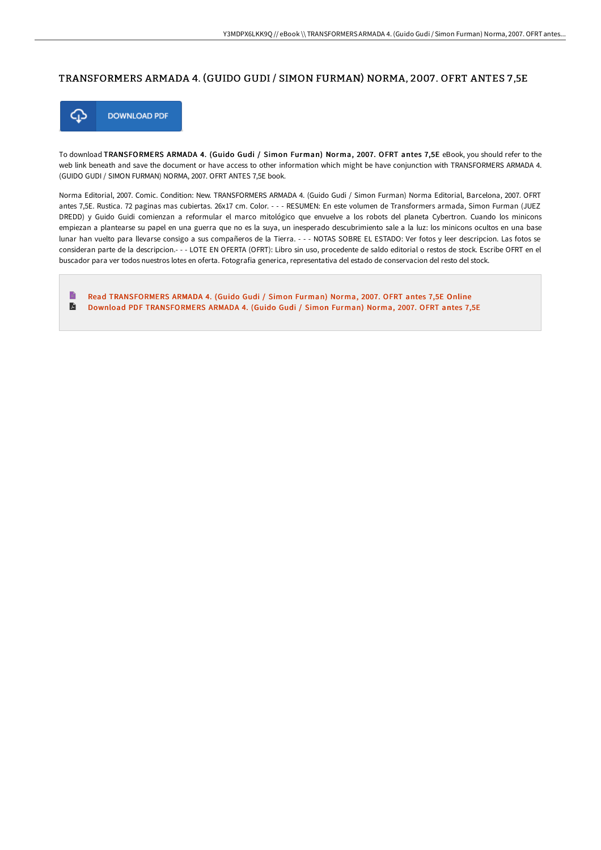### TRANSFORMERS ARMADA 4. (GUIDO GUDI / SIMON FURMAN) NORMA, 2007 . OFRT ANTES 7 ,5E



To download TRANSFORMERS ARMADA 4. (Guido Gudi / Simon Furman) Norma, 2007. OFRT antes 7,5E eBook, you should refer to the web link beneath and save the document or have access to other information which might be have conjunction with TRANSFORMERS ARMADA 4. (GUIDO GUDI / SIMON FURMAN) NORMA, 2007. OFRT ANTES 7,5E book.

Norma Editorial, 2007. Comic. Condition: New. TRANSFORMERS ARMADA 4. (Guido Gudi / Simon Furman) Norma Editorial, Barcelona, 2007. OFRT antes 7,5E. Rustica. 72 paginas mas cubiertas. 26x17 cm. Color. - - - RESUMEN: En este volumen de Transformers armada, Simon Furman (JUEZ DREDD) y Guido Guidi comienzan a reformular el marco mitológico que envuelve a los robots del planeta Cybertron. Cuando los minicons empiezan a plantearse su papel en una guerra que no es la suya, un inesperado descubrimiento sale a la luz: los minicons ocultos en una base lunar han vuelto para llevarse consigo a sus compañeros de la Tierra. - - - NOTAS SOBRE EL ESTADO: Ver fotos y leer descripcion. Las fotos se consideran parte de la descripcion.- - - LOTE EN OFERTA (OFRT): Libro sin uso, procedente de saldo editorial o restos de stock. Escribe OFRT en el buscador para ver todos nuestros lotes en oferta. Fotografia generica, representativa del estado de conservacion del resto del stock.

Read [TRANSFORMERS](http://albedo.media/transformers-armada-4-guido-gudi-x2f-simon-furma.html) ARMADA 4. (Guido Gudi / Simon Furman) Norma, 2007. OFRT antes 7,5E Online  $\blacksquare$ Download PDF [TRANSFORMERS](http://albedo.media/transformers-armada-4-guido-gudi-x2f-simon-furma.html) ARMADA 4. (Guido Gudi / Simon Furman) Norma, 2007. OFRT antes 7,5E